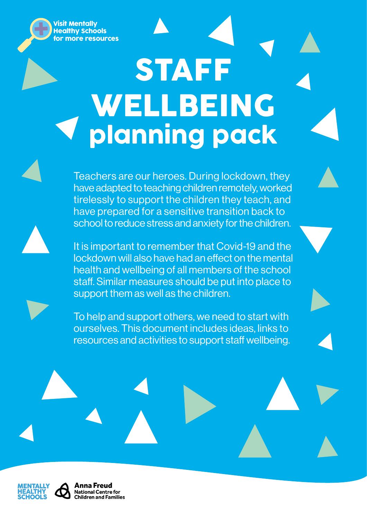Visit Mentally **Healthy Schools** [for more resources](https://mentallyhealthyschools.org.uk/mental-health-needs/rebuild-and-recover-resources)

# STAFF WELLBEING planning pack

Teachers are our heroes. During lockdown, they have adapted to teaching children remotely, worked tirelessly to support the children they teach, and have prepared for a sensitive transition back to school to reduce stress and anxiety for the children.

It is important to remember that Covid-19 and the lockdown will also have had an effect on the mental health and wellbeing of all members of the school staff. Similar measures should be put into place to support them as well as the children.

To help and support others, we need to start with ourselves. This document includes ideas, links to resources and activities to support staff wellbeing.



**Anna Freud National Centre for Children and Families**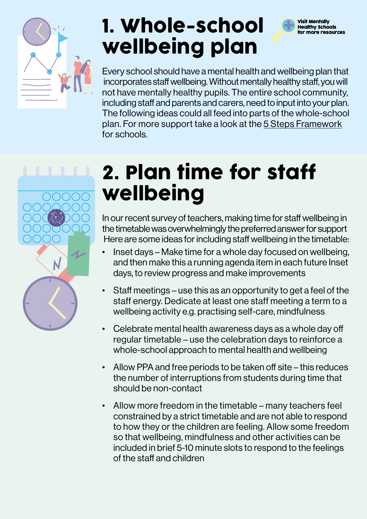

#### 1. Whole-school wellbeing plan



**Visit Mentally** Healthy Schools

[for more resources](https://mentallyhealthyschools.org.uk/mental-health-needs/rebuild-and-recover-resources)



### 2. Plan time for staff wellbeing

In our recent survey of teachers, making time for staff wellbeing in the timetable was overwhelmingly the preferred answer for support Here are some ideas for including staff wellbeing in the timetable:

- Inset days Make time for a whole day focused on wellbeing, and then make this a running agenda item in each future Inset days, to review progress and make improvements
- Staff meetings use this as an opportunity to get a feel of the staff energy. Dedicate at least one staff meeting a term to a wellbeing activity e.g. practising self-care, mindfulness
- Celebrate mental health awareness days as a whole day off regular timetable – use the celebration days to reinforce a whole-school approach to mental health and wellbeing
- Allow PPA and free periods to be taken off site this reduces the number of interruptions from students during time that should be non-contact
- Allow more freedom in the timetable many teachers feel constrained by a strict timetable and are not able to respond to how they or the children are feeling. Allow some freedom so that wellbeing, mindfulness and other activities can be included in brief 5-10 minute slots to respond to the feelings of the staff and children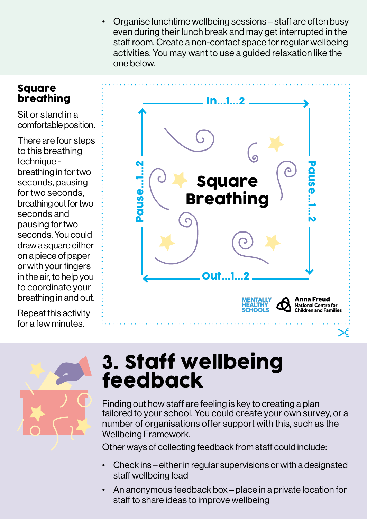• Organise lunchtime wellbeing sessions – staff are often busy even during their lunch break and may get interrupted in the staff room. Create a non-contact space for regular wellbeing activities. You may want to use a guided relaxation like the one below.

#### Square breathing

Sit or stand in a comfortable position.

There are four steps to this breathing technique breathing in for two seconds, pausing for two seconds, breathing out for two seconds and pausing for two seconds. You could draw a square either on a piece of paper or with your fingers in the air, to help you to coordinate your breathing in and out.

Repeat this activity for a few minutes.





#### 3. Staff wellbeing feedback

Finding out how staff are feeling is key to creating a plan tailored to your school. You could create your own survey, or a number of organisations offer support with this, such as the [Wellbeing](https://www.annafreud.org/mental-health-professionals/improving-help/resources/wellbeing-measurement-framework-for-schools/) [Framework](https://www.annafreud.org/mental-health-professionals/improving-help/resources/wellbeing-measurement-framework-for-schools/).

Other ways of collecting feedback from staff could include:

- Check ins either in regular supervisions or with a designated staff wellbeing lead
- An anonymous feedback box place in a private location for staff to share ideas to improve wellbeing